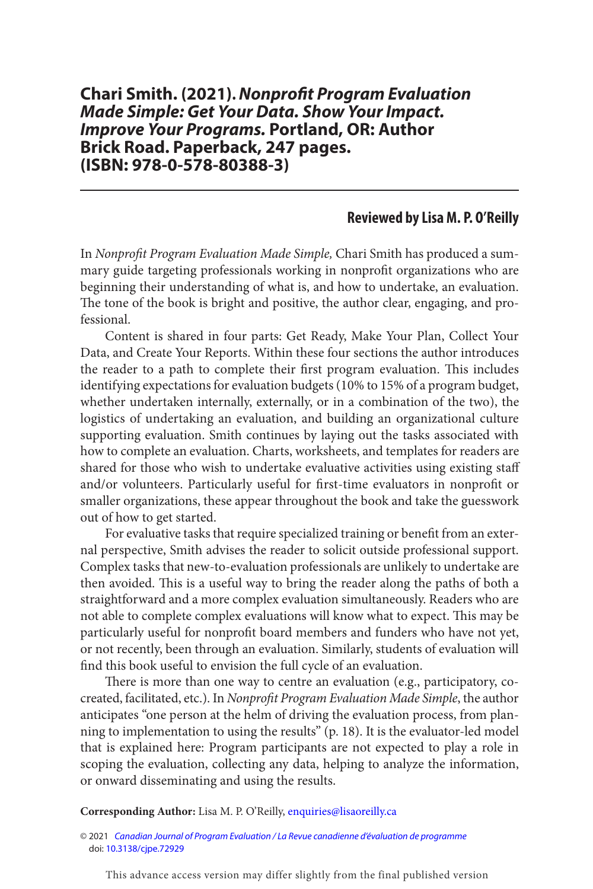## **Chari Smith. (2021) . Nonprofit Program Evaluation Made Simple: Get Your Data. Show Your Impact. Improve Your Programs. Portland, OR: Author Brick Road. Paperback, 247 pages. (ISBN: 978-0-578-80388-3)**

## **Reviewed by Lisa M. P. O'Reilly**

 In Nonprofit Program Evaluation Made Simple, Chari Smith has produced a summary guide targeting professionals working in nonprofit organizations who are beginning their understanding of what is, and how to undertake, an evaluation. The tone of the book is bright and positive, the author clear, engaging, and professional.

Content is shared in four parts: Get Ready, Make Your Plan, Collect Your Data, and Create Your Reports. Within these four sections the author introduces the reader to a path to complete their first program evaluation. This includes identifying expectations for evaluation budgets (10% to 15% of a program budget, whether undertaken internally, externally, or in a combination of the two), the logistics of undertaking an evaluation, and building an organizational culture supporting evaluation. Smith continues by laying out the tasks associated with how to complete an evaluation. Charts, worksheets, and templates for readers are shared for those who wish to undertake evaluative activities using existing staff and/or volunteers. Particularly useful for first-time evaluators in nonprofit or smaller organizations, these appear throughout the book and take the guesswork out of how to get started.

For evaluative tasks that require specialized training or benefit from an external perspective, Smith advises the reader to solicit outside professional support. Complex tasks that new-to-evaluation professionals are unlikely to undertake are then avoided. This is a useful way to bring the reader along the paths of both a straightforward and a more complex evaluation simultaneously. Readers who are not able to complete complex evaluations will know what to expect. This may be particularly useful for nonprofit board members and funders who have not yet, or not recently, been through an evaluation. Similarly, students of evaluation will find this book useful to envision the full cycle of an evaluation.

 There is more than one way to centre an evaluation (e.g., participatory, cocreated, facilitated, etc.). In Nonprofit Program Evaluation Made Simple, the author anticipates "one person at the helm of driving the evaluation process, from planning to implementation to using the results" (p. 18). It is the evaluator-led model that is explained here: Program participants are not expected to play a role in scoping the evaluation, collecting any data, helping to analyze the information, or onward disseminating and using the results.

**Corresponding Author:** Lisa M. P. O'Reilly, [enquiries@lisaoreilly.ca](mailto:enquiries@lisaoreilly.ca)

This advance access version may differ slightly from the final published version

<sup>© 2021</sup> [Canadian Journal of Program Evaluation / La Revue canadienne d'évaluation de programme](https://www.utpjournals.press/loi/cjpe) doi: [10.3138/cjpe.72929](https://doi.org/10.3138/cjpe.72929)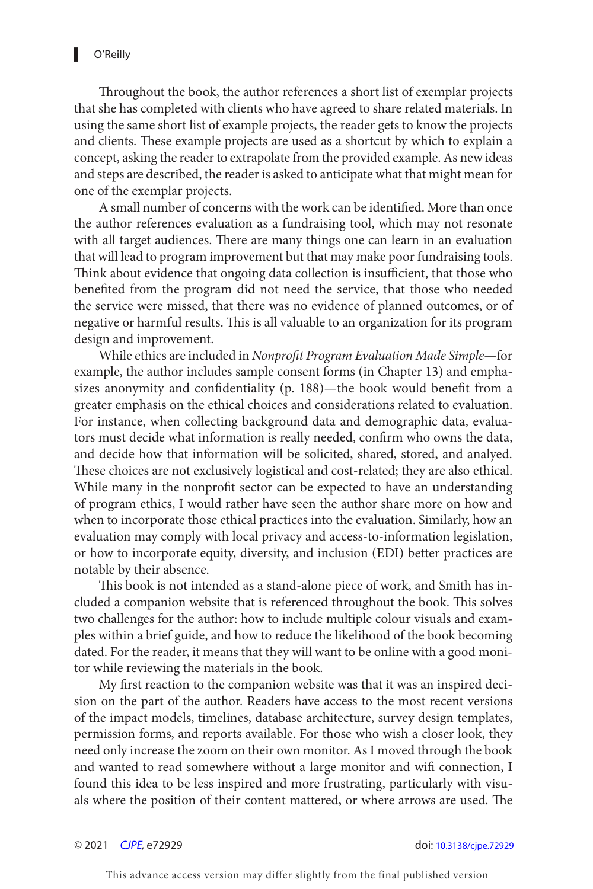Throughout the book, the author references a short list of exemplar projects that she has completed with clients who have agreed to share related materials. In using the same short list of example projects, the reader gets to know the projects and clients. These example projects are used as a shortcut by which to explain a concept, asking the reader to extrapolate from the provided example. As new ideas and steps are described, the reader is asked to anticipate what that might mean for one of the exemplar projects.

A small number of concerns with the work can be identified. More than once the author references evaluation as a fundraising tool, which may not resonate with all target audiences. There are many things one can learn in an evaluation that will lead to program improvement but that may make poor fundraising tools. Think about evidence that ongoing data collection is insufficient, that those who benefited from the program did not need the service, that those who needed the service were missed, that there was no evidence of planned outcomes, or of negative or harmful results. This is all valuable to an organization for its program design and improvement.

While ethics are included in Nonprofit Program Evaluation Made Simple— for example, the author includes sample consent forms (in Chapter 13) and emphasizes anonymity and confidentiality (p. 188) — the book would benefit from a greater emphasis on the ethical choices and considerations related to evaluation. For instance, when collecting background data and demographic data, evaluators must decide what information is really needed, confirm who owns the data, and decide how that information will be solicited, shared, stored, and analyed. These choices are not exclusively logistical and cost-related; they are also ethical. While many in the nonprofit sector can be expected to have an understanding of program ethics, I would rather have seen the author share more on how and when to incorporate those ethical practices into the evaluation. Similarly, how an evaluation may comply with local privacy and access-to-information legislation, or how to incorporate equity, diversity, and inclusion (EDI) better practices are notable by their absence.

 This book is not intended as a stand-alone piece of work, and Smith has included a companion website that is referenced throughout the book. This solves two challenges for the author: how to include multiple colour visuals and examples within a brief guide, and how to reduce the likelihood of the book becoming dated. For the reader, it means that they will want to be online with a good monitor while reviewing the materials in the book.

 My first reaction to the companion website was that it was an inspired decision on the part of the author. Readers have access to the most recent versions of the impact models, timelines, database architecture, survey design templates, permission forms, and reports available. For those who wish a closer look, they need only increase the zoom on their own monitor. As I moved through the book and wanted to read somewhere without a large monitor and wifi connection, I found this idea to be less inspired and more frustrating, particularly with visuals where the position of their content mattered, or where arrows are used. The